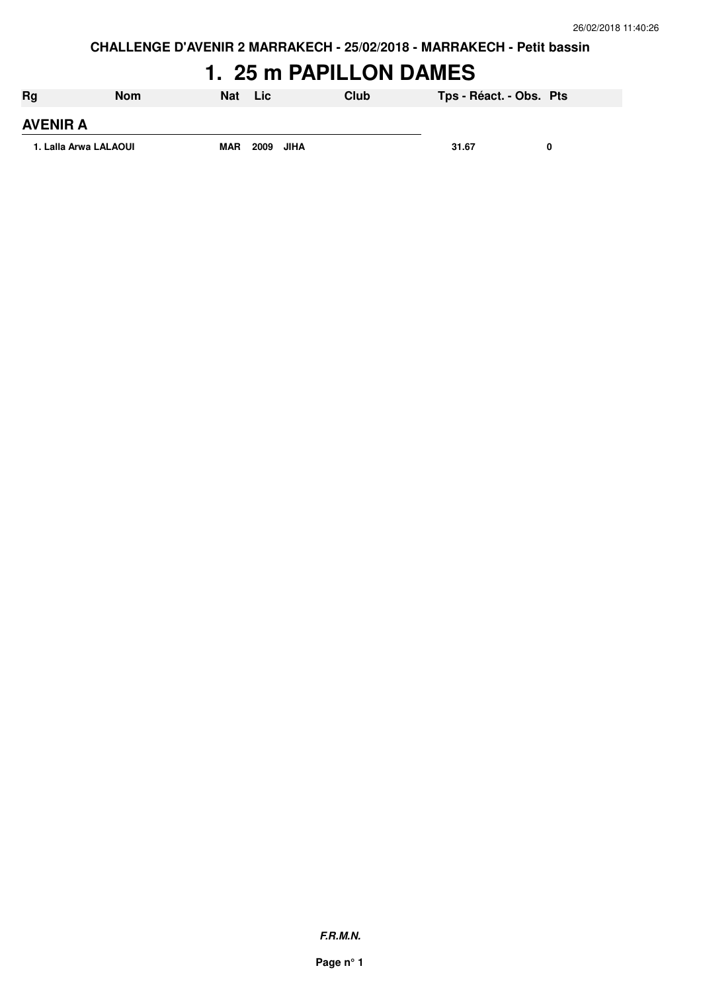# **1. 25 m PAPILLON DAMES**

| Rg                    | <b>Nom</b> | <b>Nat</b> | Lic.      | Club | Tps - Réact. - Obs. Pts |   |
|-----------------------|------------|------------|-----------|------|-------------------------|---|
| <b>AVENIR A</b>       |            |            |           |      |                         |   |
| 1. Lalla Arwa LALAOUI |            | <b>MAR</b> | 2009 JIHA |      | 31.67                   | 0 |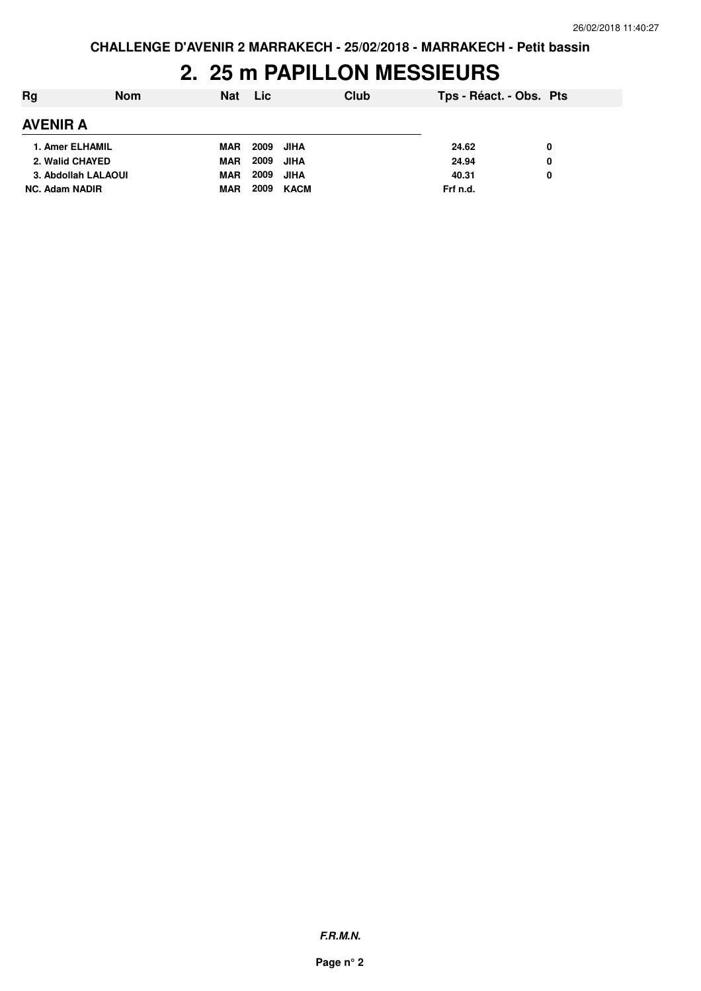## **2. 25 m PAPILLON MESSIEURS**

| Rg                    | <b>Nom</b> | Nat        | <b>Lic</b> |      | Club | Tps - Réact. - Obs. Pts |   |
|-----------------------|------------|------------|------------|------|------|-------------------------|---|
| <b>AVENIR A</b>       |            |            |            |      |      |                         |   |
| 1. Amer ELHAMIL       |            | <b>MAR</b> | 2009       | JIHA |      | 24.62                   | 0 |
| 2. Walid CHAYED       |            | <b>MAR</b> | 2009       | JIHA |      | 24.94                   | 0 |
| 3. Abdollah LALAOUI   |            | <b>MAR</b> | 2009       | JIHA |      | 40.31                   | 0 |
| <b>NC. Adam NADIR</b> |            | <b>MAR</b> | 2009       | KACM |      | Frf n.d.                |   |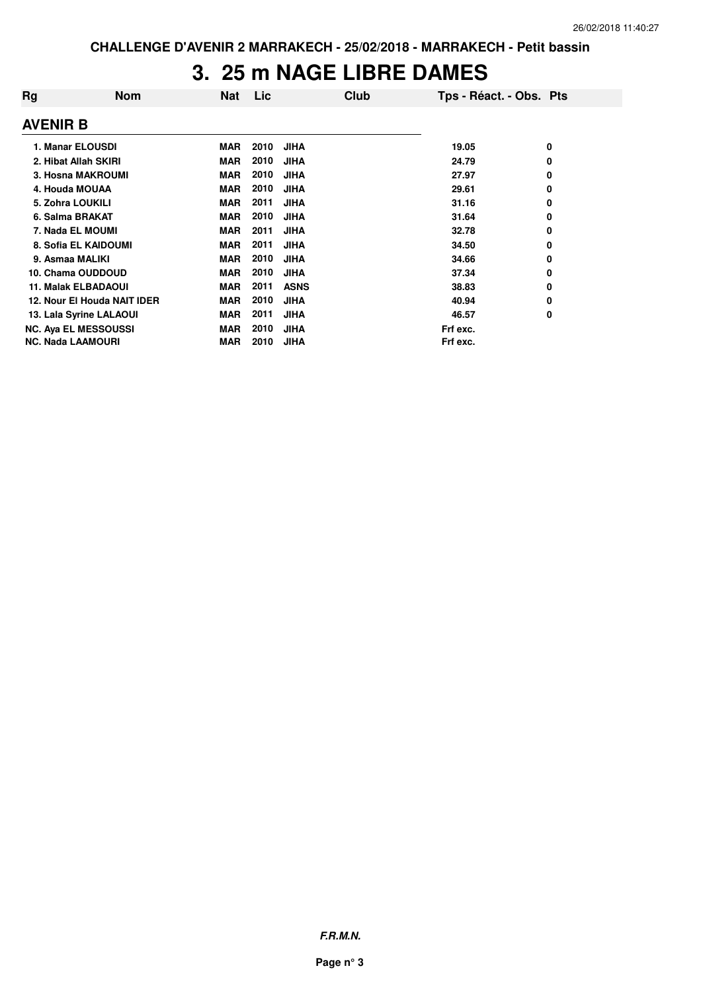# **3. 25 m NAGE LIBRE DAMES**

| Rg                       | <b>Nom</b>                  | <b>Nat</b> | Lic  | Club        | Tps - Réact. - Obs. Pts |   |
|--------------------------|-----------------------------|------------|------|-------------|-------------------------|---|
| <b>AVENIR B</b>          |                             |            |      |             |                         |   |
|                          | 1. Manar ELOUSDI            | <b>MAR</b> | 2010 | <b>JIHA</b> | 19.05                   | 0 |
|                          | 2. Hibat Allah SKIRI        | <b>MAR</b> | 2010 | <b>JIHA</b> | 24.79                   | 0 |
|                          | 3. Hosna MAKROUMI           | <b>MAR</b> | 2010 | <b>JIHA</b> | 27.97                   | 0 |
| 4. Houda MOUAA           |                             | <b>MAR</b> | 2010 | <b>JIHA</b> | 29.61                   | 0 |
| 5. Zohra LOUKILI         |                             | <b>MAR</b> | 2011 | <b>JIHA</b> | 31.16                   | 0 |
| 6. Salma BRAKAT          |                             | <b>MAR</b> | 2010 | <b>JIHA</b> | 31.64                   | 0 |
|                          | 7. Nada EL MOUMI            | <b>MAR</b> | 2011 | <b>JIHA</b> | 32.78                   | 0 |
|                          | 8. Sofia EL KAIDOUMI        | <b>MAR</b> | 2011 | <b>JIHA</b> | 34.50                   | 0 |
| 9. Asmaa MALIKI          |                             | <b>MAR</b> | 2010 | <b>JIHA</b> | 34.66                   | 0 |
|                          | 10. Chama OUDDOUD           | <b>MAR</b> | 2010 | <b>JIHA</b> | 37.34                   | 0 |
|                          | <b>11. Malak ELBADAOUI</b>  | <b>MAR</b> | 2011 | <b>ASNS</b> | 38.83                   | 0 |
|                          | 12. Nour El Houda NAIT IDER | <b>MAR</b> | 2010 | <b>JIHA</b> | 40.94                   | 0 |
|                          | 13. Lala Syrine LALAOUI     | <b>MAR</b> | 2011 | <b>JIHA</b> | 46.57                   | 0 |
|                          | <b>NC. Aya EL MESSOUSSI</b> | <b>MAR</b> | 2010 | <b>JIHA</b> | Frf exc.                |   |
| <b>NC. Nada LAAMOURI</b> |                             | MAR        | 2010 | <b>JIHA</b> | Frf exc.                |   |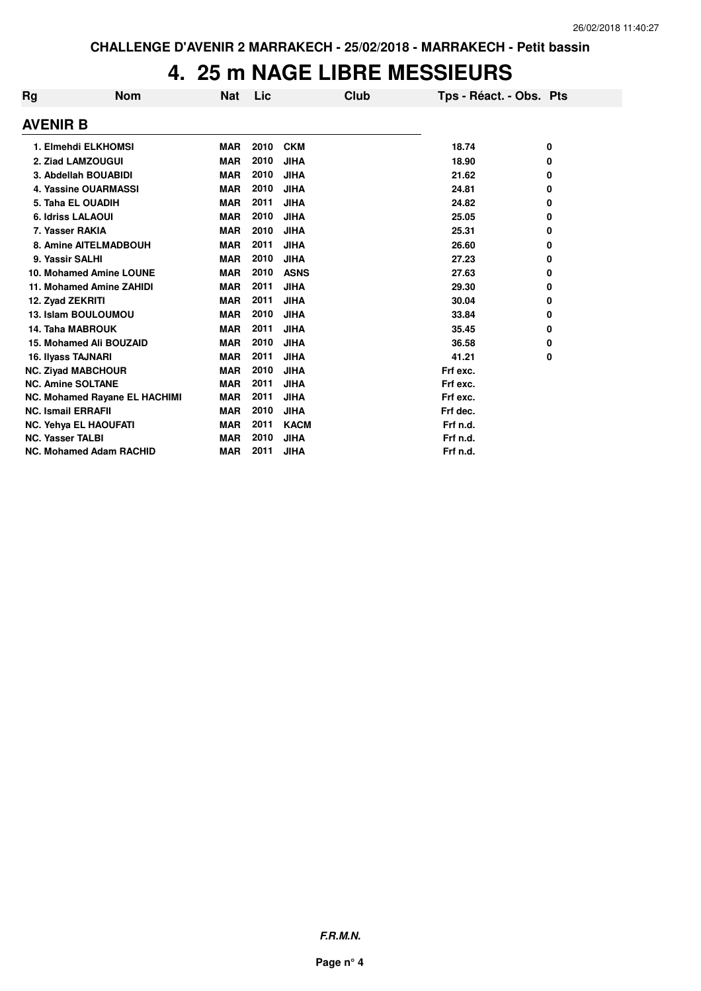#### **4. 25 m NAGE LIBRE MESSIEURS**

| Rg                        | <b>Nom</b>                           | <b>Nat</b> | Lic  | Club        | Tps - Réact. - Obs. Pts |   |
|---------------------------|--------------------------------------|------------|------|-------------|-------------------------|---|
| <b>AVENIR B</b>           |                                      |            |      |             |                         |   |
|                           | 1. Elmehdi ELKHOMSI                  | <b>MAR</b> | 2010 | <b>CKM</b>  | 18.74                   | 0 |
|                           | 2. Ziad LAMZOUGUI                    | <b>MAR</b> | 2010 | <b>JIHA</b> | 18.90                   | 0 |
|                           | 3. Abdellah BOUABIDI                 | <b>MAR</b> | 2010 | <b>JIHA</b> | 21.62                   | 0 |
|                           | 4. Yassine OUARMASSI                 | <b>MAR</b> | 2010 | <b>JIHA</b> | 24.81                   | 0 |
|                           | 5. Taha EL OUADIH                    | <b>MAR</b> | 2011 | <b>JIHA</b> | 24.82                   | 0 |
|                           | 6. Idriss LALAOUI                    | <b>MAR</b> | 2010 | <b>JIHA</b> | 25.05                   | 0 |
|                           | 7. Yasser RAKIA                      | <b>MAR</b> | 2010 | <b>JIHA</b> | 25.31                   | 0 |
|                           | 8. Amine AITELMADBOUH                | <b>MAR</b> | 2011 | <b>JIHA</b> | 26.60                   | 0 |
| 9. Yassir SALHI           |                                      | <b>MAR</b> | 2010 | <b>JIHA</b> | 27.23                   | 0 |
|                           | 10. Mohamed Amine LOUNE              | <b>MAR</b> | 2010 | <b>ASNS</b> | 27.63                   | 0 |
|                           | 11. Mohamed Amine ZAHIDI             | <b>MAR</b> | 2011 | <b>JIHA</b> | 29.30                   | 0 |
| 12. Zyad ZEKRITI          |                                      | <b>MAR</b> | 2011 | <b>JIHA</b> | 30.04                   | 0 |
|                           | 13. Islam BOULOUMOU                  | <b>MAR</b> | 2010 | <b>JIHA</b> | 33.84                   | 0 |
|                           | <b>14. Taha MABROUK</b>              | <b>MAR</b> | 2011 | <b>JIHA</b> | 35.45                   | 0 |
|                           | 15. Mohamed Ali BOUZAID              | <b>MAR</b> | 2010 | <b>JIHA</b> | 36.58                   | 0 |
|                           | 16. Ilyass TAJNARI                   | <b>MAR</b> | 2011 | <b>JIHA</b> | 41.21                   | 0 |
|                           | <b>NC. Zivad MABCHOUR</b>            | <b>MAR</b> | 2010 | <b>JIHA</b> | Frf exc.                |   |
|                           | <b>NC. Amine SOLTANE</b>             | <b>MAR</b> | 2011 | <b>JIHA</b> | Frf exc.                |   |
|                           | <b>NC. Mohamed Rayane EL HACHIMI</b> | <b>MAR</b> | 2011 | <b>JIHA</b> | Frf exc.                |   |
| <b>NC. Ismail ERRAFII</b> |                                      | <b>MAR</b> | 2010 | <b>JIHA</b> | Frf dec.                |   |
|                           | <b>NC. Yehya EL HAOUFATI</b>         | <b>MAR</b> | 2011 | <b>KACM</b> | Frf n.d.                |   |
| <b>NC. Yasser TALBI</b>   |                                      | <b>MAR</b> | 2010 | <b>JIHA</b> | Frf n.d.                |   |
|                           | <b>NC. Mohamed Adam RACHID</b>       | <b>MAR</b> | 2011 | <b>JIHA</b> | Frf n.d.                |   |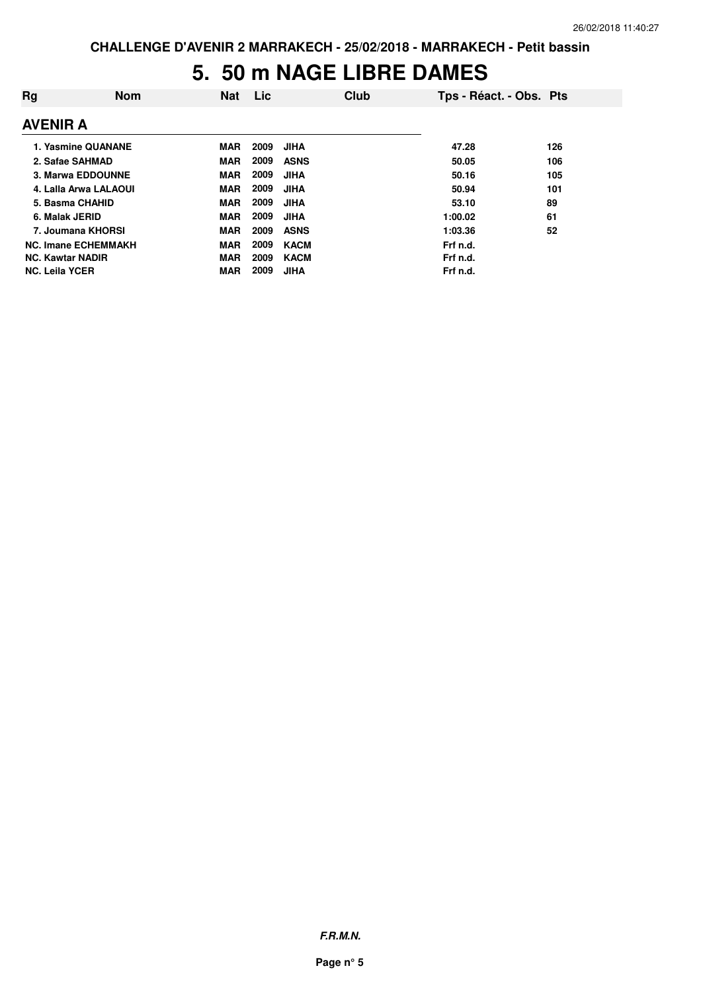# **5. 50 m NAGE LIBRE DAMES**

| Rg                      | <b>Nom</b>                 | Nat        | <b>Lic</b> | Club        | Tps - Réact. - Obs. Pts |     |
|-------------------------|----------------------------|------------|------------|-------------|-------------------------|-----|
| <b>AVENIR A</b>         |                            |            |            |             |                         |     |
|                         | 1. Yasmine QUANANE         | <b>MAR</b> | 2009       | <b>JIHA</b> | 47.28                   | 126 |
|                         | 2. Safae SAHMAD            | <b>MAR</b> | 2009       | <b>ASNS</b> | 50.05                   | 106 |
|                         | 3. Marwa EDDOUNNE          | <b>MAR</b> | 2009       | <b>JIHA</b> | 50.16                   | 105 |
|                         | 4. Lalla Arwa LALAOUI      | <b>MAR</b> | 2009       | <b>JIHA</b> | 50.94                   | 101 |
|                         | 5. Basma CHAHID            | <b>MAR</b> | 2009       | <b>JIHA</b> | 53.10                   | 89  |
| 6. Malak JERID          |                            | <b>MAR</b> | 2009       | <b>JIHA</b> | 1:00.02                 | 61  |
|                         | 7. Joumana KHORSI          | <b>MAR</b> | 2009       | <b>ASNS</b> | 1:03.36                 | 52  |
|                         | <b>NC. Imane ECHEMMAKH</b> | <b>MAR</b> | 2009       | <b>KACM</b> | Frf n.d.                |     |
| <b>NC. Kawtar NADIR</b> |                            | <b>MAR</b> | 2009       | <b>KACM</b> | Frf n.d.                |     |
| <b>NC. Leila YCER</b>   |                            | <b>MAR</b> | 2009       | <b>JIHA</b> | Frf n.d.                |     |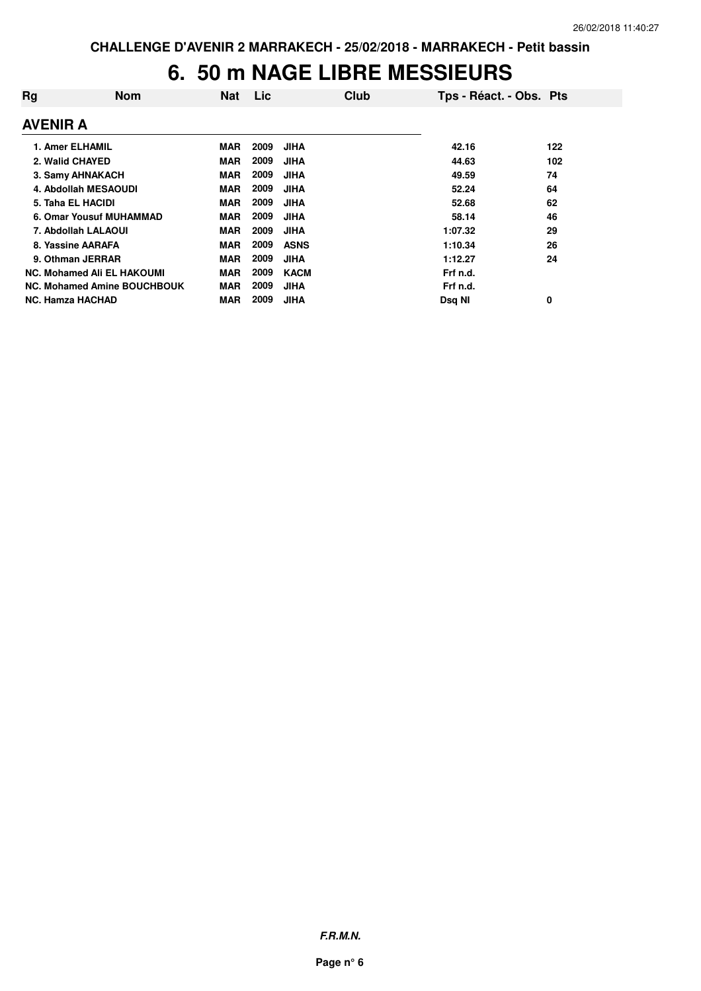#### **6. 50 m NAGE LIBRE MESSIEURS**

| Rg                      | <b>Nom</b>                         | <b>Nat</b> | Lic  | Club        | Tps - Réact. - Obs. Pts |     |
|-------------------------|------------------------------------|------------|------|-------------|-------------------------|-----|
| <b>AVENIR A</b>         |                                    |            |      |             |                         |     |
| 1. Amer ELHAMIL         |                                    | <b>MAR</b> | 2009 | <b>JIHA</b> | 42.16                   | 122 |
| 2. Walid CHAYED         |                                    | <b>MAR</b> | 2009 | <b>JIHA</b> | 44.63                   | 102 |
|                         | 3. Samy AHNAKACH                   | <b>MAR</b> | 2009 | <b>JIHA</b> | 49.59                   | 74  |
|                         | 4. Abdollah MESAOUDI               | <b>MAR</b> | 2009 | <b>JIHA</b> | 52.24                   | 64  |
| 5. Taha EL HACIDI       |                                    | <b>MAR</b> | 2009 | <b>JIHA</b> | 52.68                   | 62  |
|                         | 6. Omar Yousuf MUHAMMAD            | <b>MAR</b> | 2009 | <b>JIHA</b> | 58.14                   | 46  |
|                         | 7. Abdollah LALAOUI                | <b>MAR</b> | 2009 | <b>JIHA</b> | 1:07.32                 | 29  |
|                         | 8. Yassine AARAFA                  | <b>MAR</b> | 2009 | <b>ASNS</b> | 1:10.34                 | 26  |
|                         | 9. Othman JERRAR                   | <b>MAR</b> | 2009 | <b>JIHA</b> | 1:12.27                 | 24  |
|                         | NC. Mohamed Ali EL HAKOUMI         | <b>MAR</b> | 2009 | <b>KACM</b> | Frf n.d.                |     |
|                         | <b>NC. Mohamed Amine BOUCHBOUK</b> | <b>MAR</b> | 2009 | <b>JIHA</b> | Frf n.d.                |     |
| <b>NC. Hamza HACHAD</b> |                                    | <b>MAR</b> | 2009 | <b>JIHA</b> | Dsg NI                  | 0   |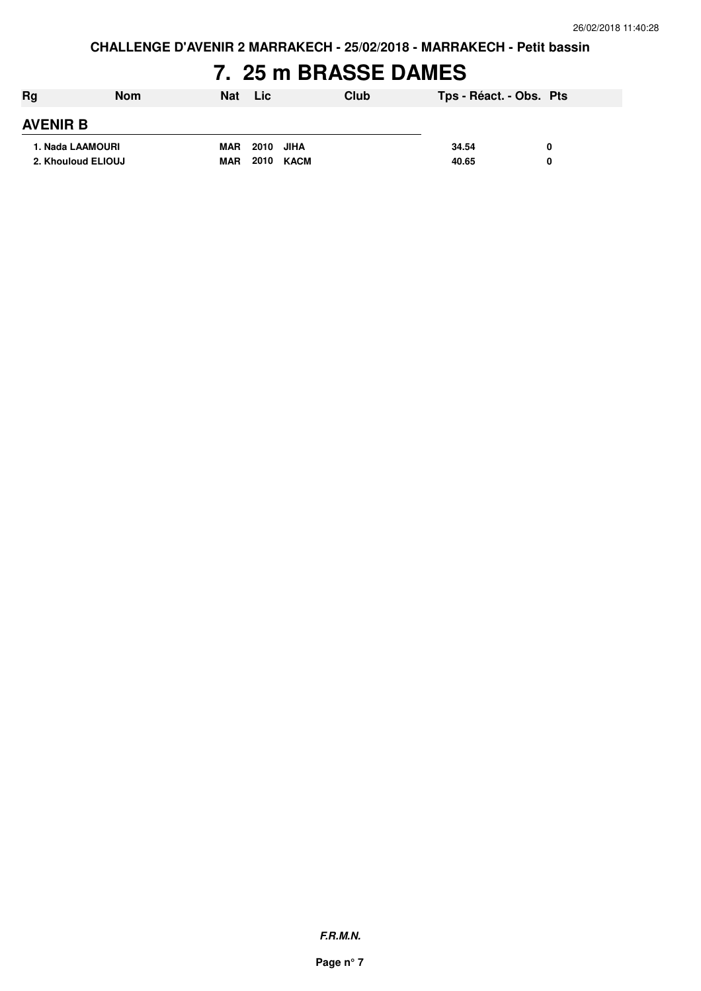#### **7. 25 m BRASSE DAMES**

| Rg               | <b>Nom</b>         | <b>Nat</b> | Lic       | Club | Tps - Réact. - Obs. Pts |   |
|------------------|--------------------|------------|-----------|------|-------------------------|---|
| <b>AVENIR B</b>  |                    |            |           |      |                         |   |
| 1. Nada LAAMOURI |                    | <b>MAR</b> | 2010 JIHA |      | 34.54                   | 0 |
|                  | 2. Khouloud ELIOUJ | <b>MAR</b> | 2010 KACM |      | 40.65                   | 0 |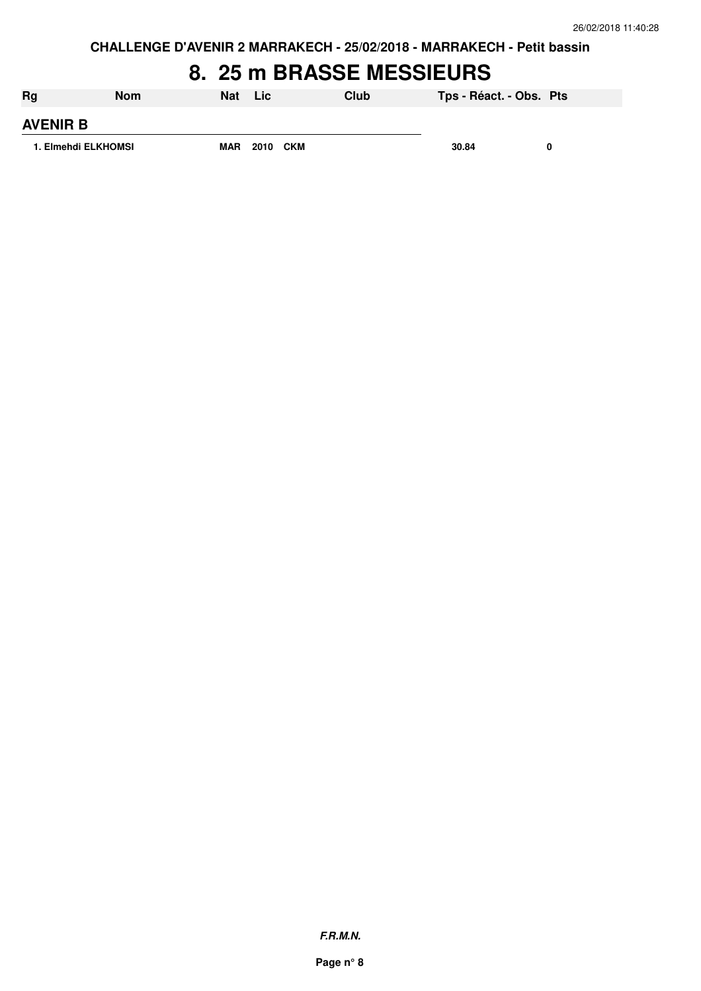### **8. 25 m BRASSE MESSIEURS**

| <b>Rg</b>           | <b>Nom</b> | Nat        | Lic.     | Club | Tps - Réact. - Obs. Pts |   |
|---------------------|------------|------------|----------|------|-------------------------|---|
| <b>AVENIR B</b>     |            |            |          |      |                         |   |
| 1. Elmehdi ELKHOMSI |            | <b>MAR</b> | 2010 CKM |      | 30.84                   | 0 |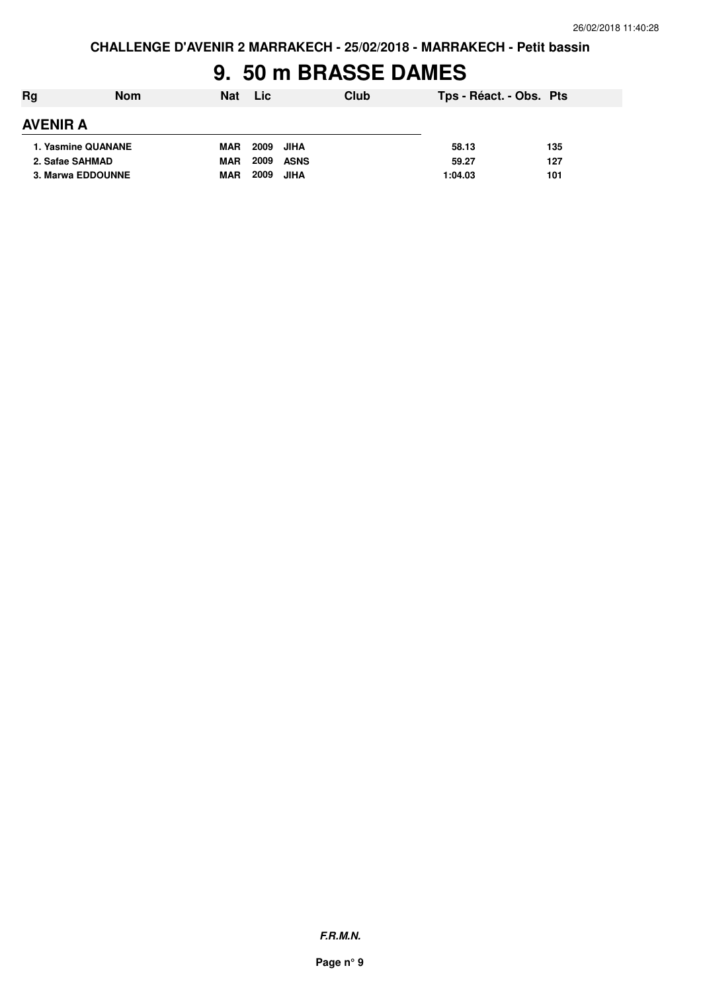### **9. 50 m BRASSE DAMES**

| Rg              | <b>Nom</b>         | <b>Nat</b> | <b>Lic</b>          | <b>Club</b> | Tps - Réact. - Obs. Pts |     |
|-----------------|--------------------|------------|---------------------|-------------|-------------------------|-----|
| <b>AVENIR A</b> |                    |            |                     |             |                         |     |
|                 | 1. Yasmine QUANANE | <b>MAR</b> | 2009<br>JIHA        |             | 58.13                   | 135 |
| 2. Safae SAHMAD |                    | <b>MAR</b> | 2009<br><b>ASNS</b> |             | 59.27                   | 127 |
|                 | 3. Marwa EDDOUNNE  | <b>MAR</b> | 2009<br>JIHA        |             | 1:04.03                 | 101 |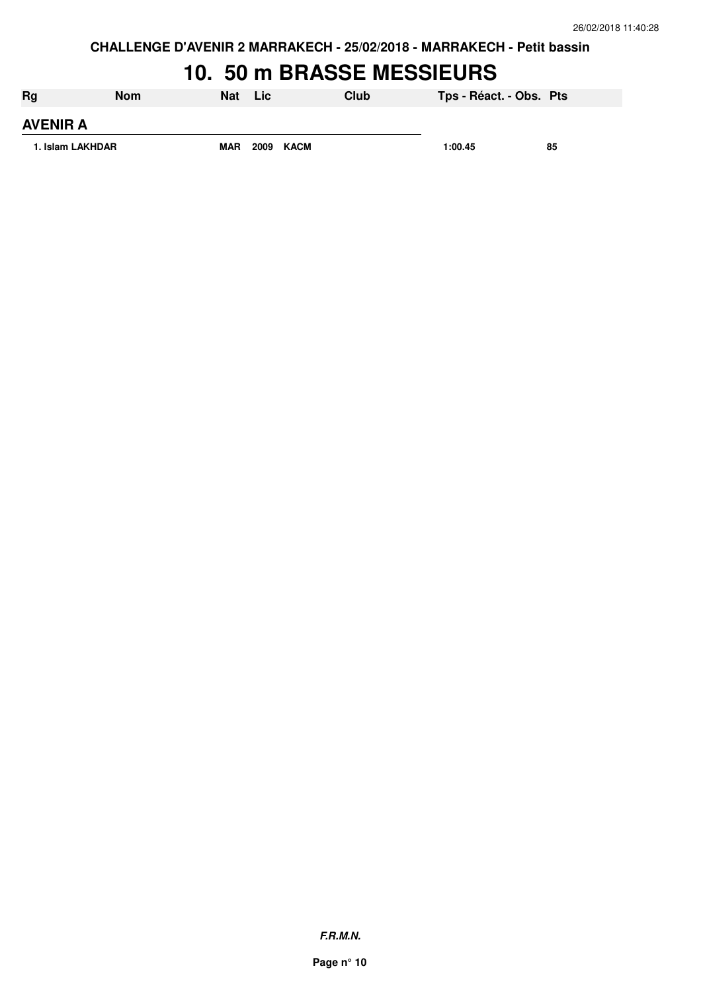#### **10. 50 m BRASSE MESSIEURS**

| <b>Rg</b>        | Nom | <b>Nat</b> | Lic          | Club | Tps - Réact. - Obs. Pts |    |
|------------------|-----|------------|--------------|------|-------------------------|----|
| <b>AVENIR A</b>  |     |            |              |      |                         |    |
| 1. Islam LAKHDAR |     | <b>MAR</b> | 2009<br>KACM |      | 1:00.45                 | 85 |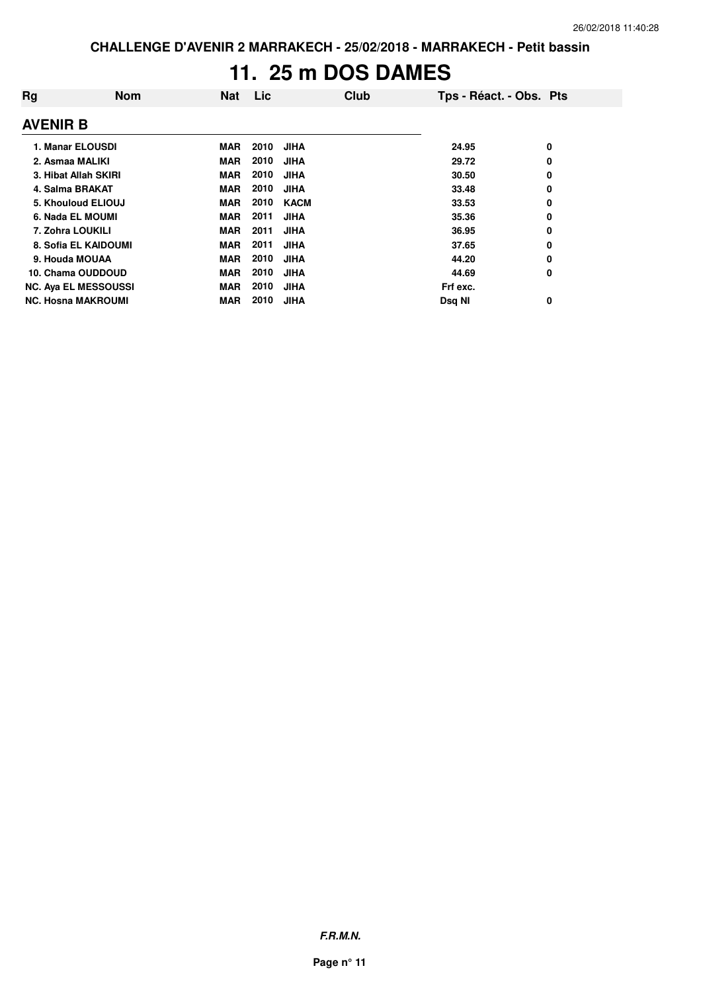# **11. 25 m DOS DAMES**

| Rg               | <b>Nom</b>                  | <b>Nat</b> | Lic  | Club        | Tps - Réact. - Obs. Pts |   |
|------------------|-----------------------------|------------|------|-------------|-------------------------|---|
| <b>AVENIR B</b>  |                             |            |      |             |                         |   |
| 1. Manar ELOUSDI |                             | MAR        | 2010 | JIHA        | 24.95                   | 0 |
| 2. Asmaa MALIKI  |                             | MAR        | 2010 | <b>JIHA</b> | 29.72                   | 0 |
|                  | 3. Hibat Allah SKIRI        | <b>MAR</b> | 2010 | <b>JIHA</b> | 30.50                   | 0 |
| 4. Salma BRAKAT  |                             | <b>MAR</b> | 2010 | <b>JIHA</b> | 33.48                   | 0 |
|                  | 5. Khouloud ELIOUJ          | <b>MAR</b> | 2010 | KACM        | 33.53                   | 0 |
| 6. Nada EL MOUMI |                             | <b>MAR</b> | 2011 | <b>JIHA</b> | 35.36                   | 0 |
| 7. Zohra LOUKILI |                             | MAR        | 2011 | <b>JIHA</b> | 36.95                   | 0 |
|                  | 8. Sofia EL KAIDOUMI        | <b>MAR</b> | 2011 | <b>JIHA</b> | 37.65                   | 0 |
| 9. Houda MOUAA   |                             | <b>MAR</b> | 2010 | <b>JIHA</b> | 44.20                   | 0 |
|                  | 10. Chama OUDDOUD           | <b>MAR</b> | 2010 | <b>JIHA</b> | 44.69                   | 0 |
|                  | <b>NC. Aya EL MESSOUSSI</b> | <b>MAR</b> | 2010 | <b>JIHA</b> | Frf exc.                |   |
|                  | <b>NC. Hosna MAKROUMI</b>   | <b>MAR</b> | 2010 | <b>JIHA</b> | Dsg NI                  | 0 |

**F.R.M.N.**

**Page n° 11**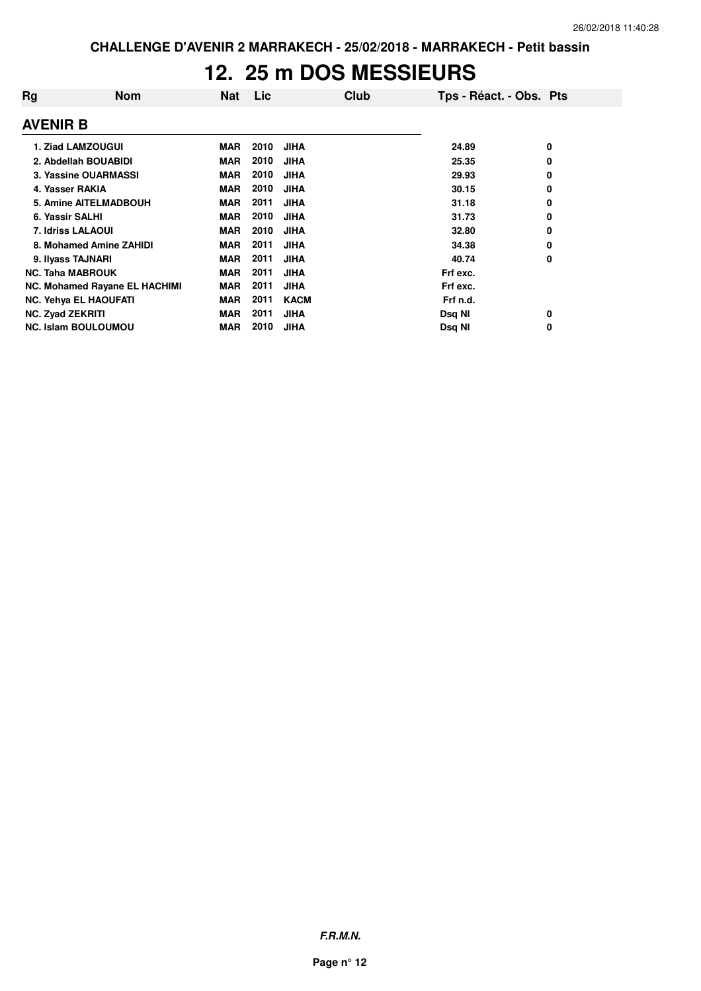#### **12. 25 m DOS MESSIEURS**

| Rg               | Nom                           | Nat        | Lic  | Club        | Tps - Réact. - Obs. Pts |   |
|------------------|-------------------------------|------------|------|-------------|-------------------------|---|
| <b>AVENIR B</b>  |                               |            |      |             |                         |   |
|                  | 1. Ziad LAMZOUGUI             | <b>MAR</b> | 2010 | <b>JIHA</b> | 24.89                   | 0 |
|                  | 2. Abdellah BOUABIDI          | <b>MAR</b> | 2010 | <b>JIHA</b> | 25.35                   | 0 |
|                  | 3. Yassine OUARMASSI          | <b>MAR</b> | 2010 | <b>JIHA</b> | 29.93                   | 0 |
|                  | 4. Yasser RAKIA               | <b>MAR</b> | 2010 | <b>JIHA</b> | 30.15                   | 0 |
|                  | 5. Amine AITELMADBOUH         | <b>MAR</b> | 2011 | <b>JIHA</b> | 31.18                   | 0 |
| 6. Yassir SALHI  |                               | <b>MAR</b> | 2010 | <b>JIHA</b> | 31.73                   | 0 |
|                  | <b>7. Idriss LALAOUI</b>      | <b>MAR</b> | 2010 | <b>JIHA</b> | 32.80                   | 0 |
|                  | 8. Mohamed Amine ZAHIDI       | <b>MAR</b> | 2011 | <b>JIHA</b> | 34.38                   | 0 |
|                  | 9. Ilyass TAJNARI             | <b>MAR</b> | 2011 | <b>JIHA</b> | 40.74                   | 0 |
|                  | <b>NC. Taha MABROUK</b>       | <b>MAR</b> | 2011 | <b>JIHA</b> | Frf exc.                |   |
|                  | NC. Mohamed Rayane EL HACHIMI | <b>MAR</b> | 2011 | <b>JIHA</b> | Frf exc.                |   |
|                  | NC. Yehya EL HAOUFATI         | <b>MAR</b> | 2011 | <b>KACM</b> | Frf n.d.                |   |
| NC. Zyad ZEKRITI |                               | <b>MAR</b> | 2011 | <b>JIHA</b> | Dsq NI                  | 0 |
|                  | <b>NC. Islam BOULOUMOU</b>    | <b>MAR</b> | 2010 | <b>JIHA</b> | Dsq NI                  | 0 |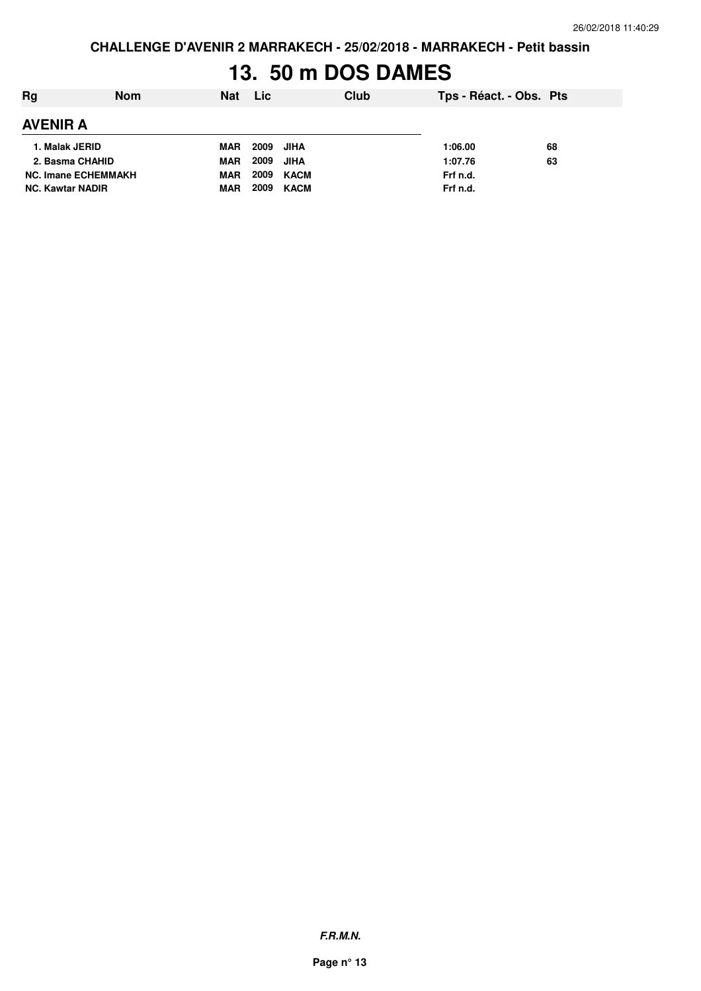# **13. 50 m DOS DAMES**

| Rg                         | <b>Nom</b> | <b>Nat</b> | Lic  |             | Club | Tps - Réact. - Obs. Pts |    |
|----------------------------|------------|------------|------|-------------|------|-------------------------|----|
| <b>AVENIR A</b>            |            |            |      |             |      |                         |    |
| 1. Malak JERID             |            | <b>MAR</b> | 2009 | <b>JIHA</b> |      | 1:06.00                 | 68 |
| 2. Basma CHAHID            |            | <b>MAR</b> | 2009 | JIHA        |      | 1:07.76                 | 63 |
| <b>NC. Imane ECHEMMAKH</b> |            | <b>MAR</b> | 2009 | KACM        |      | Frf n.d.                |    |
| <b>NC. Kawtar NADIR</b>    |            | MAR        | 2009 | <b>KACM</b> |      | Frf n.d.                |    |

**F.R.M.N.**

**Page n° 13**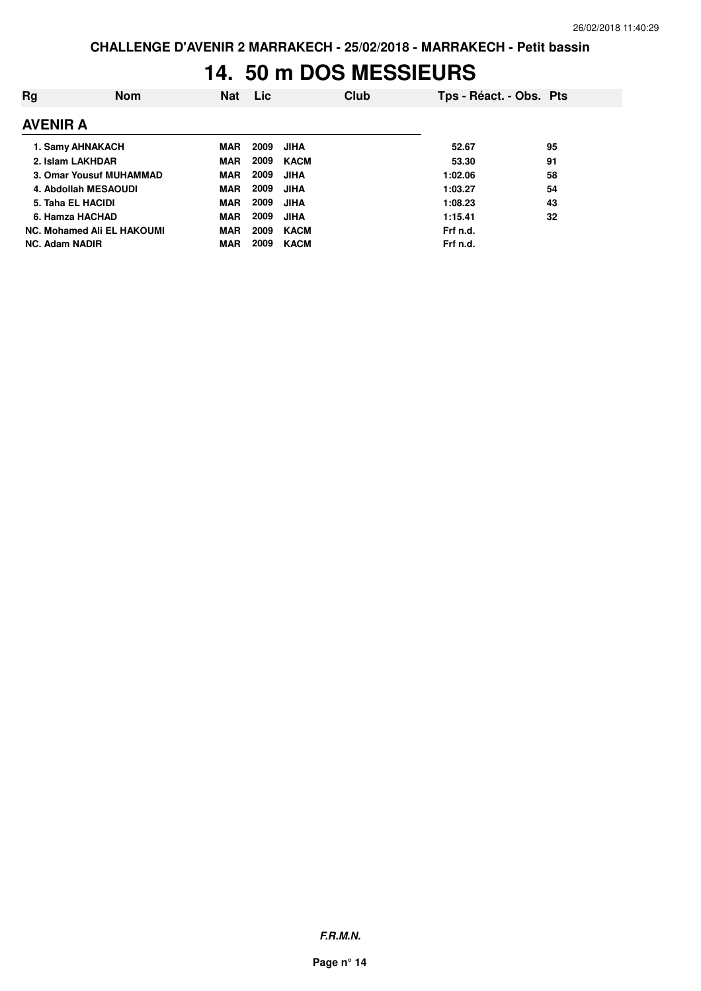## **14. 50 m DOS MESSIEURS**

| Rg                    | <b>Nom</b>                 | Nat        | Lic  | Club        | Tps - Réact. - Obs. Pts |    |
|-----------------------|----------------------------|------------|------|-------------|-------------------------|----|
| <b>AVENIR A</b>       |                            |            |      |             |                         |    |
|                       | 1. Samy AHNAKACH           | MAR        | 2009 | <b>JIHA</b> | 52.67                   | 95 |
|                       | 2. Islam LAKHDAR           | <b>MAR</b> | 2009 | <b>KACM</b> | 53.30                   | 91 |
|                       | 3. Omar Yousuf MUHAMMAD    | <b>MAR</b> | 2009 | <b>JIHA</b> | 1:02.06                 | 58 |
|                       | 4. Abdollah MESAOUDI       | <b>MAR</b> | 2009 | <b>JIHA</b> | 1:03.27                 | 54 |
|                       | 5. Taha EL HACIDI          | <b>MAR</b> | 2009 | <b>JIHA</b> | 1:08.23                 | 43 |
|                       | 6. Hamza HACHAD            | <b>MAR</b> | 2009 | <b>JIHA</b> | 1:15.41                 | 32 |
|                       | NC. Mohamed Ali EL HAKOUMI | <b>MAR</b> | 2009 | KACM        | Frf n.d.                |    |
| <b>NC. Adam NADIR</b> |                            | MAR        | 2009 | <b>KACM</b> | Frf n.d.                |    |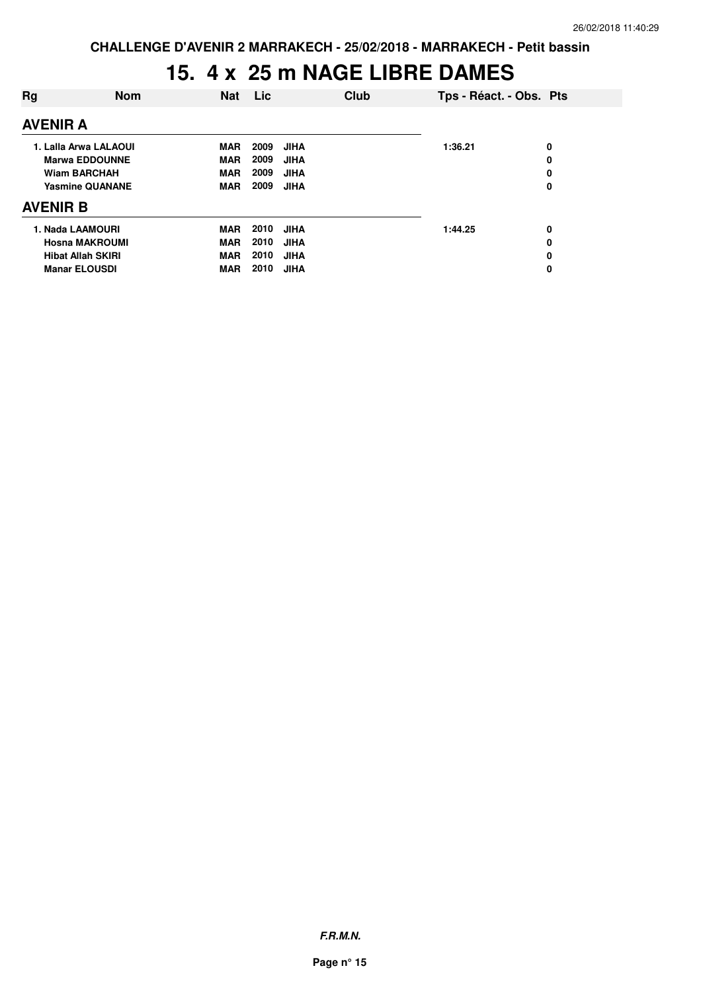## **15. 4 x 25 m NAGE LIBRE DAMES**

| Rg                       | <b>Nom</b> | <b>Nat</b> | Lic  | Club        |         | Tps - Réact. - Obs. Pts |  |
|--------------------------|------------|------------|------|-------------|---------|-------------------------|--|
| <b>AVENIR A</b>          |            |            |      |             |         |                         |  |
| 1. Lalla Arwa LALAOUI    |            | <b>MAR</b> | 2009 | <b>JIHA</b> | 1:36.21 | 0                       |  |
| <b>Marwa EDDOUNNE</b>    |            | <b>MAR</b> | 2009 | <b>JIHA</b> |         | 0                       |  |
| <b>Wiam BARCHAH</b>      |            | <b>MAR</b> | 2009 | <b>JIHA</b> |         | 0                       |  |
| <b>Yasmine QUANANE</b>   |            | <b>MAR</b> | 2009 | <b>JIHA</b> |         | 0                       |  |
| <b>AVENIR B</b>          |            |            |      |             |         |                         |  |
| 1. Nada LAAMOURI         |            | <b>MAR</b> | 2010 | <b>JIHA</b> | 1:44.25 | 0                       |  |
| <b>Hosna MAKROUMI</b>    |            | <b>MAR</b> | 2010 | <b>JIHA</b> |         | 0                       |  |
| <b>Hibat Allah SKIRI</b> |            | <b>MAR</b> | 2010 | <b>JIHA</b> |         | 0                       |  |
| <b>Manar ELOUSDI</b>     |            | <b>MAR</b> | 2010 | <b>JIHA</b> |         | 0                       |  |